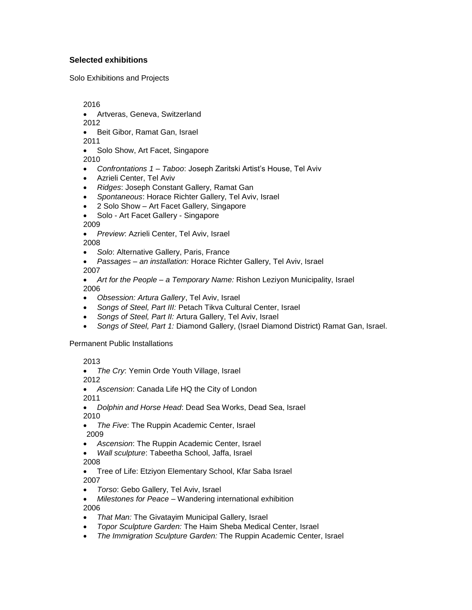## **Selected exhibitions**

Solo Exhibitions and Projects

2016

Artveras, Geneva, Switzerland

2012

Beit Gibor, Ramat Gan, Israel

2011

Solo Show, Art Facet, Singapore

2010

- *Confrontations 1 – Taboo*: Joseph Zaritski Artist's House, Tel Aviv
- Azrieli Center, Tel Aviv
- *Ridges*: Joseph Constant Gallery, Ramat Gan
- *Spontaneous*: Horace Richter Gallery, Tel Aviv, Israel
- 2 Solo Show Art Facet Gallery, Singapore
- Solo Art Facet Gallery Singapore

2009

*Preview*: Azrieli Center, Tel Aviv, Israel

2008

- *Solo*: Alternative Gallery, Paris, France
- *Passages – an installation:* Horace Richter Gallery, Tel Aviv, Israel 2007
- *Art for the People – a Temporary Name:* Rishon Leziyon Municipality, Israel 2006
- *Obsession: Artura Gallery*, Tel Aviv, Israel
- *Songs of Steel, Part III:* Petach Tikva Cultural Center, Israel
- *Songs of Steel, Part II:* Artura Gallery, Tel Aviv, Israel
- *Songs of Steel, Part 1:* Diamond Gallery, (Israel Diamond District) Ramat Gan, Israel.

## Permanent Public Installations

2013

*The Cry*: Yemin Orde Youth Village, Israel

2012

*Ascension*: Canada Life HQ the City of London

2011

- *Dolphin and Horse Head*: Dead Sea Works, Dead Sea, Israel 2010
- *The Five*: The Ruppin Academic Center, Israel 2009
- *Ascension*: The Ruppin Academic Center, Israel
- *Wall sculpture*: Tabeetha School, Jaffa, Israel

2008

- Tree of Life: Etziyon Elementary School, Kfar Saba Israel 2007
- *Torso*: Gebo Gallery, Tel Aviv, Israel
- *Milestones for Peace* Wandering international exhibition 2006
- *That Man:* The Givatayim Municipal Gallery, Israel
- *Topor Sculpture Garden:* The Haim Sheba Medical Center, Israel
- *The Immigration Sculpture Garden:* The Ruppin Academic Center, Israel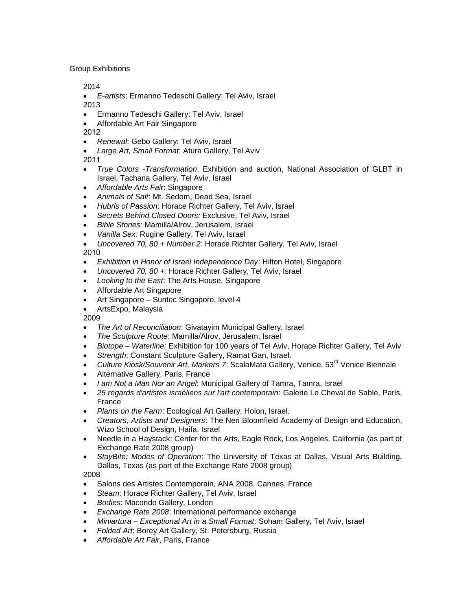Group Exhibitions

2014

 *E-artists*: Ermanno Tedeschi Gallery: Tel Aviv, Israel 2013

- Ermanno Tedeschi Gallery: Tel Aviv, Israel
- Affordable Art Fair Singapore

2012

- *Renewal*: Gebo Gallery: Tel Aviv, Israel
- *Large Art, Small Format*: Atura Gallery, Tel Aviv

2011

- *True Colors -Transformation*: Exhibition and auction, National Association of GLBT in Israel, Tachana Gallery, Tel Aviv, Israel
- *Affordable Arts Fair*: Singapore
- *Animals of Salt*: Mt. Sedom, Dead Sea, Israel
- *Hubris of Passion*: Horace Richter Gallery, Tel Aviv, Israel
- *Secrets Behind Closed Doors:* Exclusive, Tel Aviv, Israel
- *Bible Stories:* Mamilla/Alrov, Jerusalem, Israel
- *Vanilla Sex:* Rugine Gallery, Tel Aviv, Israel
- *Uncovered 70, 80 + Number 2:* Horace Richter Gallery, Tel Aviv, Israel

2010

- *Exhibition in Honor of Israel Independence Day*: Hilton Hotel, Singapore
- *Uncovered 70, 80 +:* Horace Richter Gallery, Tel Aviv, Israel
- *Looking to the East*: The Arts House, Singapore
- Affordable Art Singapore
- Art Singapore Suntec Singapore, level 4
- ArtsExpo, Malaysia

2009

- *The Art of Reconciliation*: Givatayim Municipal Gallery, Israel
- *The Sculpture Route*: Mamilla/Alrov, Jerusalem, Israel
- *Biotope – Waterline:* Exhibition for 100 years of Tel Aviv, Horace Richter Gallery, Tel Aviv
- *Strength*: Constant Sculpture Gallery, Ramat Gan, Israel.
- *Culture Kiosk/Souvenir Art, Markers 7*: ScalaMata Gallery, Venice, 53<sup>rd</sup> Venice Biennale
- Alternative Gallery, Paris, France
- *I am Not a Man Nor an Angel*: Municipal Gallery of Tamra, Tamra, Israel
- *25 regards d'artistes israéliens sur l'art contemporain*: Galerie Le Cheval de Sable, Paris, France
- *Plants on the Farm*: Ecological Art Gallery, Holon, Israel.
- *Creators, Artists and Designers*: The Neri Bloomfield Academy of Design and Education, Wizo School of Design, Haifa, Israel
- Needle in a Haystack: Center for the Arts, Eagle Rock, Los Angeles, California (as part of Exchange Rate 2008 group)
- *StayBite: Modes of Operation*: The University of Texas at Dallas, Visual Arts Building, Dallas, Texas (as part of the Exchange Rate 2008 group)

2008

- Salons des Artistes Contemporain, ANA 2008, Cannes, France
- *Steam*: Horace Richter Gallery, Tel Aviv, Israel
- *Bodies*: Macondo Gallery, London
- *Exchange Rate 2008*: International performance exchange
- *Miniartura – Exceptional Art in a Small Format*: Soham Gallery, Tel Aviv, Israel
- *Folded Art*: Borey Art Gallery, St. Petersburg, Russia
- *Affordable Art Fair*, Paris, France